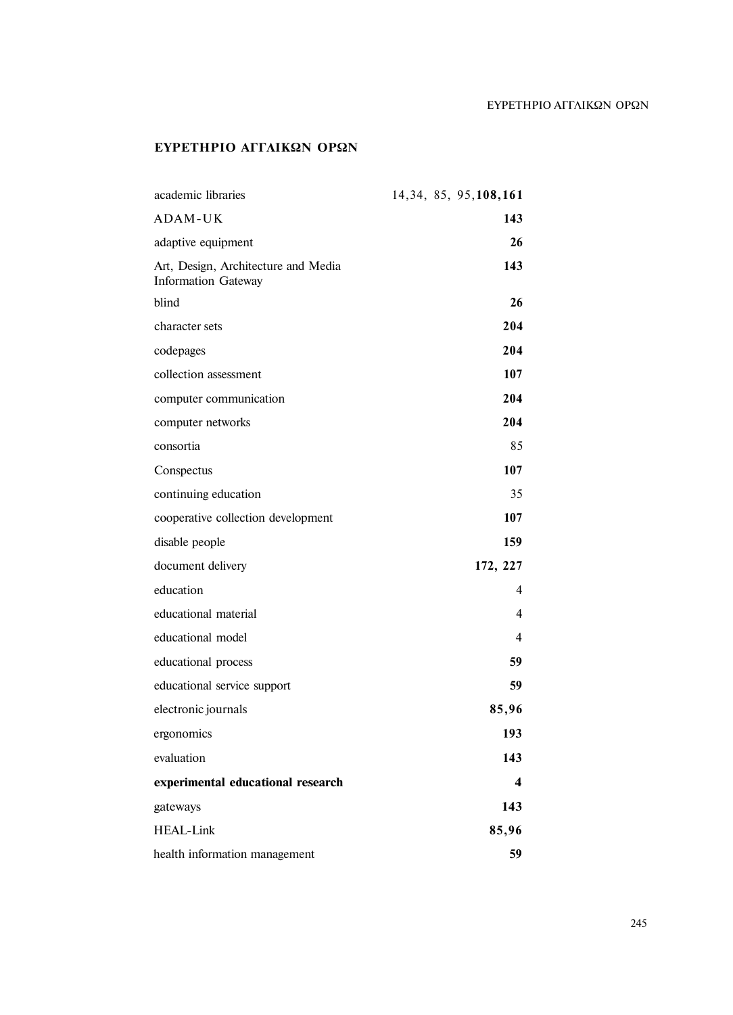## ΕΥΡΕΤΗΡΙΟ ΑΓΓΛΙΚΩΝ ΟΡΩΝ

## **ΕΥΡΕΤΗΡΙΟ ΑΓΓΛΙΚΩΝ ΟΡΩΝ**

| academic libraries                                                | 14, 34, 85, 95, 108, 161 |
|-------------------------------------------------------------------|--------------------------|
| ADAM-UK                                                           | 143                      |
| adaptive equipment                                                | 26                       |
| Art, Design, Architecture and Media<br><b>Information Gateway</b> | 143                      |
| blind                                                             | 26                       |
| character sets                                                    | 204                      |
| codepages                                                         | 204                      |
| collection assessment                                             | 107                      |
| computer communication                                            | 204                      |
| computer networks                                                 | 204                      |
| consortia                                                         | 85                       |
| Conspectus                                                        | 107                      |
| continuing education                                              | 35                       |
| cooperative collection development                                | 107                      |
| disable people                                                    | 159                      |
| document delivery                                                 | 172, 227                 |
| education                                                         | 4                        |
| educational material                                              | 4                        |
| educational model                                                 | 4                        |
| educational process                                               | 59                       |
| educational service support                                       | 59                       |
| electronic journals                                               | 85,96                    |
| ergonomics                                                        | 193                      |
| evaluation                                                        | 143                      |
| experimental educational research                                 | 4                        |
| gateways                                                          | 143                      |
| <b>HEAL-Link</b>                                                  | 85,96                    |
| health information management                                     | 59                       |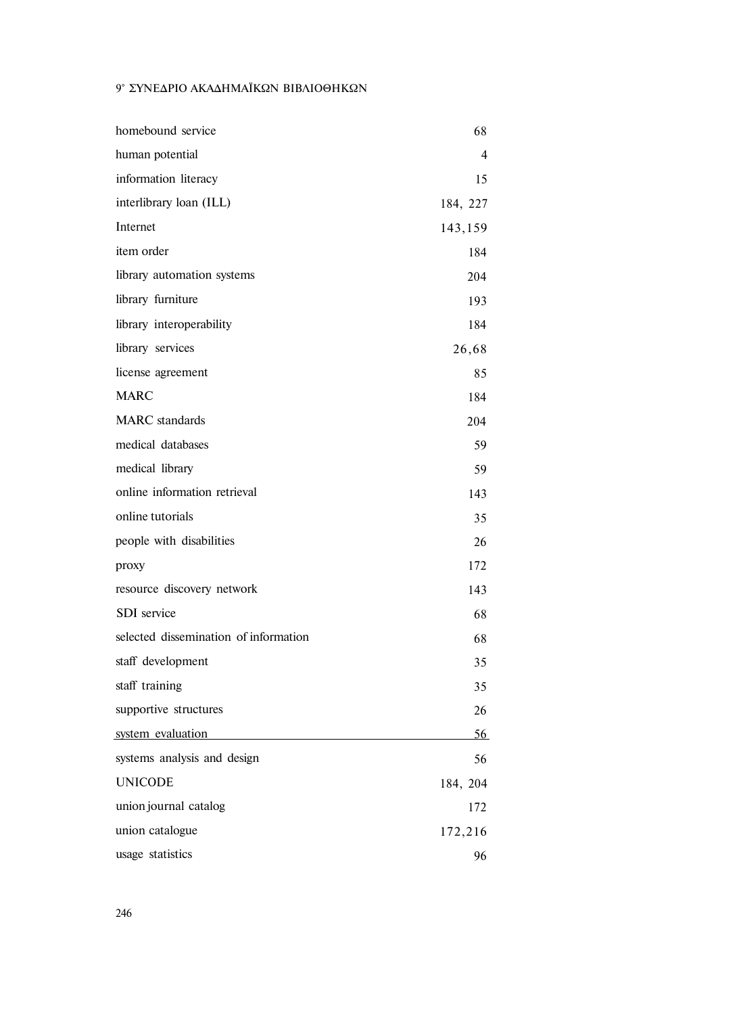## 9° ΣΥΝΕΔΡΙΟ ΑΚΑΔΗΜΑΪΚΩΝ ΒΙΒΛΙΟΘΗΚΩΝ

| homebound service                     | 68       |
|---------------------------------------|----------|
|                                       |          |
| human potential                       | 4        |
| information literacy                  | 15       |
| interlibrary loan (ILL)               | 184, 227 |
| Internet                              | 143,159  |
| item order                            | 184      |
| library automation systems            | 204      |
| library furniture                     | 193      |
| library interoperability              | 184      |
| library services                      | 26,68    |
| license agreement                     | 85       |
| <b>MARC</b>                           | 184      |
| <b>MARC</b> standards                 | 204      |
| medical databases                     | 59       |
| medical library                       | 59       |
| online information retrieval          | 143      |
| online tutorials                      | 35       |
| people with disabilities              | 26       |
| proxy                                 | 172      |
| resource discovery network            | 143      |
| <b>SDI</b> service                    | 68       |
| selected dissemination of information | 68       |
| staff development                     | 35       |
| staff training                        | 35       |
| supportive structures                 | 26       |
| system evaluation                     | 56       |
| systems analysis and design           | 56       |
| <b>UNICODE</b>                        | 184, 204 |
| union journal catalog                 | 172      |
| union catalogue                       | 172,216  |
| usage statistics                      | 96       |